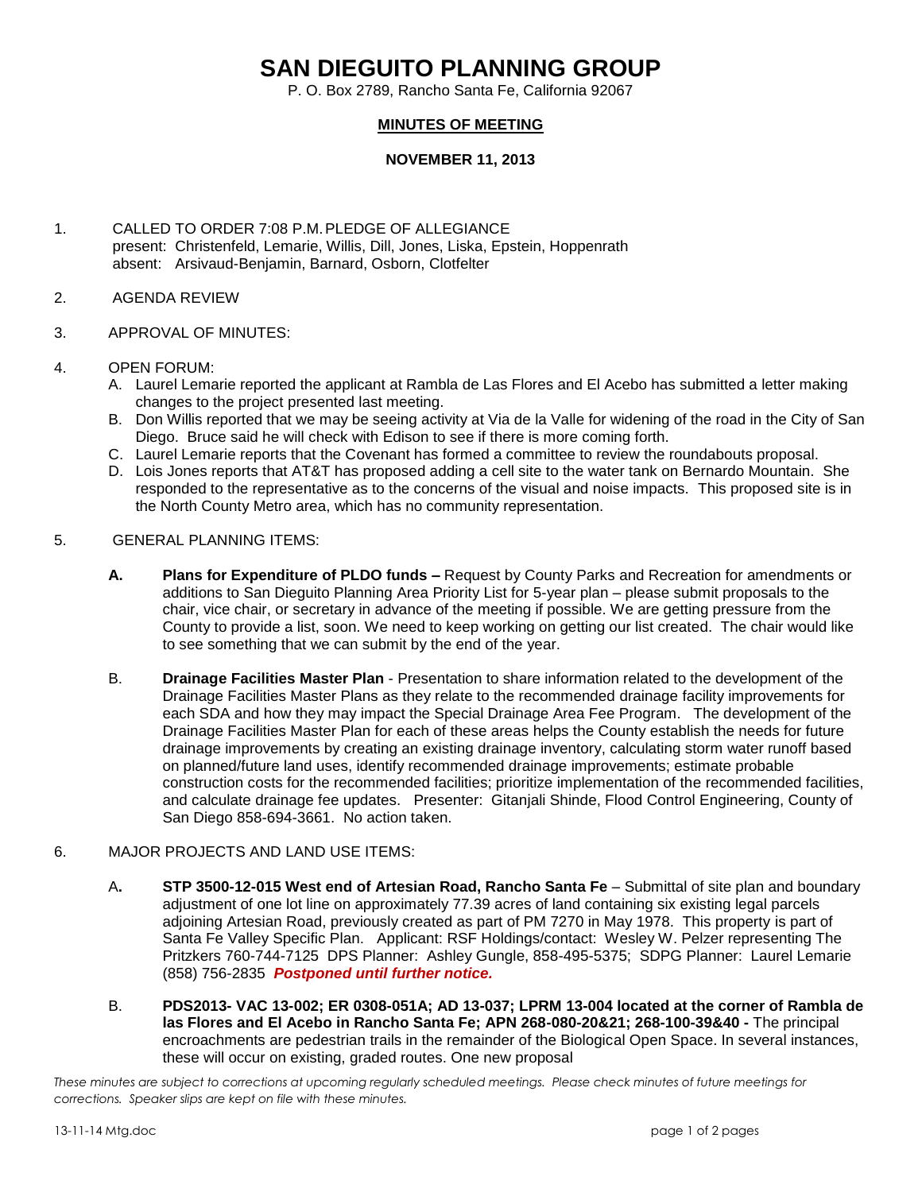## **SAN DIEGUITO PLANNING GROUP**

P. O. Box 2789, Rancho Santa Fe, California 92067

## **MINUTES OF MEETING**

## **NOVEMBER 11, 2013**

- 1. CALLED TO ORDER 7:08 P.M.PLEDGE OF ALLEGIANCE present: Christenfeld, Lemarie, Willis, Dill, Jones, Liska, Epstein, Hoppenrath absent: Arsivaud-Benjamin, Barnard, Osborn, Clotfelter
- 2. AGENDA REVIEW
- 3. APPROVAL OF MINUTES:
- 4. OPEN FORUM:
	- A. Laurel Lemarie reported the applicant at Rambla de Las Flores and El Acebo has submitted a letter making changes to the project presented last meeting.
	- B. Don Willis reported that we may be seeing activity at Via de la Valle for widening of the road in the City of San Diego. Bruce said he will check with Edison to see if there is more coming forth.
	- C. Laurel Lemarie reports that the Covenant has formed a committee to review the roundabouts proposal.
	- D. Lois Jones reports that AT&T has proposed adding a cell site to the water tank on Bernardo Mountain. She responded to the representative as to the concerns of the visual and noise impacts. This proposed site is in the North County Metro area, which has no community representation.
- 5. GENERAL PLANNING ITEMS:
	- **A. Plans for Expenditure of PLDO funds –** Request by County Parks and Recreation for amendments or additions to San Dieguito Planning Area Priority List for 5-year plan – please submit proposals to the chair, vice chair, or secretary in advance of the meeting if possible. We are getting pressure from the County to provide a list, soon. We need to keep working on getting our list created. The chair would like to see something that we can submit by the end of the year.
	- B. **Drainage Facilities Master Plan** Presentation to share information related to the development of the Drainage Facilities Master Plans as they relate to the recommended drainage facility improvements for each SDA and how they may impact the Special Drainage Area Fee Program. The development of the Drainage Facilities Master Plan for each of these areas helps the County establish the needs for future drainage improvements by creating an existing drainage inventory, calculating storm water runoff based on planned/future land uses, identify recommended drainage improvements; estimate probable construction costs for the recommended facilities; prioritize implementation of the recommended facilities, and calculate drainage fee updates. Presenter: Gitanjali Shinde, Flood Control Engineering, County of San Diego 858-694-3661. No action taken.

## 6. MAJOR PROJECTS AND LAND USE ITEMS:

- A**. STP 3500-12-015 West end of Artesian Road, Rancho Santa Fe** Submittal of site plan and boundary adjustment of one lot line on approximately 77.39 acres of land containing six existing legal parcels adjoining Artesian Road, previously created as part of PM 7270 in May 1978. This property is part of Santa Fe Valley Specific Plan.Applicant: RSF Holdings/contact: Wesley W. Pelzer representing The Pritzkers 760-744-7125 DPS Planner: Ashley Gungle, 858-495-5375; SDPG Planner: Laurel Lemarie (858) 756-2835 *Postponed until further notice.*
- B. **PDS2013- VAC 13-002; ER 0308-051A; AD 13-037; LPRM 13-004 located at the corner of Rambla de las Flores and El Acebo in Rancho Santa Fe; APN 268-080-20&21; 268-100-39&40 -** The principal encroachments are pedestrian trails in the remainder of the Biological Open Space. In several instances, these will occur on existing, graded routes. One new proposal

*These minutes are subject to corrections at upcoming regularly scheduled meetings. Please check minutes of future meetings for corrections. Speaker slips are kept on file with these minutes.*